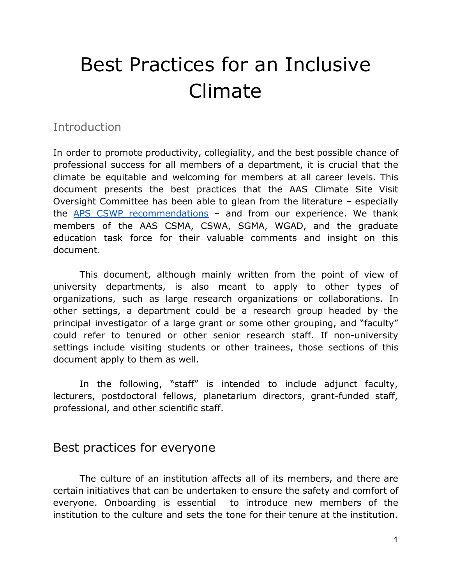# Best Practices for an Inclusive Climate

### **Introduction**

In order to promote productivity, collegiality, and the best possible chance of professional success for all members of a department, it is crucial that the climate be equitable and welcoming for members at all career levels. This document presents the best practices that the AAS Climate Site Visit Oversight Committee has been able to glean from the literature – especially the APS CSWP [recommendations](https://www.aps.org/programs/women/reports/cswppractices/index.cfm) - and from our experience. We thank members of the AAS CSMA, CSWA, SGMA, WGAD, and the graduate education task force for their valuable comments and insight on this document.

This document, although mainly written from the point of view of university departments, is also meant to apply to other types of organizations, such as large research organizations or collaborations. In other settings, a department could be a research group headed by the principal investigator of a large grant or some other grouping, and "faculty" could refer to tenured or other senior research staff. If non-university settings include visiting students or other trainees, those sections of this document apply to them as well.

In the following, "staff" is intended to include adjunct faculty, lecturers, postdoctoral fellows, planetarium directors, grant-funded staff, professional, and other scientific staff.

## Best practices for everyone

The culture of an institution affects all of its members, and there are certain initiatives that can be undertaken to ensure the safety and comfort of everyone. Onboarding is essential to introduce new members of the institution to the culture and sets the tone for their tenure at the institution.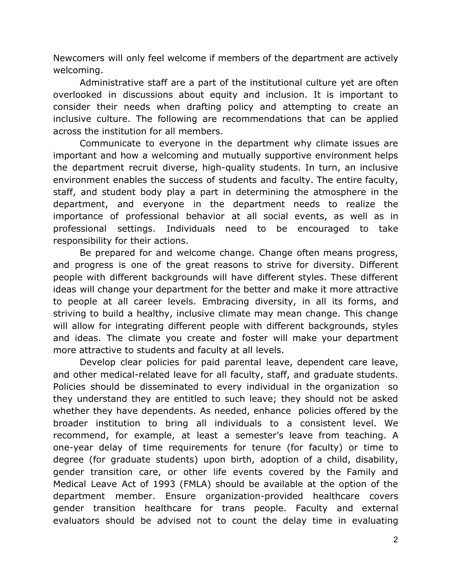Newcomers will only feel welcome if members of the department are actively welcoming.

Administrative staff are a part of the institutional culture yet are often overlooked in discussions about equity and inclusion. It is important to consider their needs when drafting policy and attempting to create an inclusive culture. The following are recommendations that can be applied across the institution for all members.

Communicate to everyone in the department why climate issues are important and how a welcoming and mutually supportive environment helps the department recruit diverse, high-quality students. In turn, an inclusive environment enables the success of students and faculty. The entire faculty, staff, and student body play a part in determining the atmosphere in the department, and everyone in the department needs to realize the importance of professional behavior at all social events, as well as in professional settings. Individuals need to be encouraged to take responsibility for their actions.

Be prepared for and welcome change. Change often means progress, and progress is one of the great reasons to strive for diversity. Different people with different backgrounds will have different styles. These different ideas will change your department for the better and make it more attractive to people at all career levels. Embracing diversity, in all its forms, and striving to build a healthy, inclusive climate may mean change. This change will allow for integrating different people with different backgrounds, styles and ideas. The climate you create and foster will make your department more attractive to students and faculty at all levels.

Develop clear policies for paid parental leave, dependent care leave, and other medical-related leave for all faculty, staff, and graduate students. Policies should be disseminated to every individual in the organization so they understand they are entitled to such leave; they should not be asked whether they have dependents. As needed, enhance policies offered by the broader institution to bring all individuals to a consistent level. We recommend, for example, at least a semester's leave from teaching. A one-year delay of time requirements for tenure (for faculty) or time to degree (for graduate students) upon birth, adoption of a child, disability, gender transition care, or other life events covered by the Family and Medical Leave Act of 1993 (FMLA) should be available at the option of the department member. Ensure organization-provided healthcare covers gender transition healthcare for trans people. Faculty and external evaluators should be advised not to count the delay time in evaluating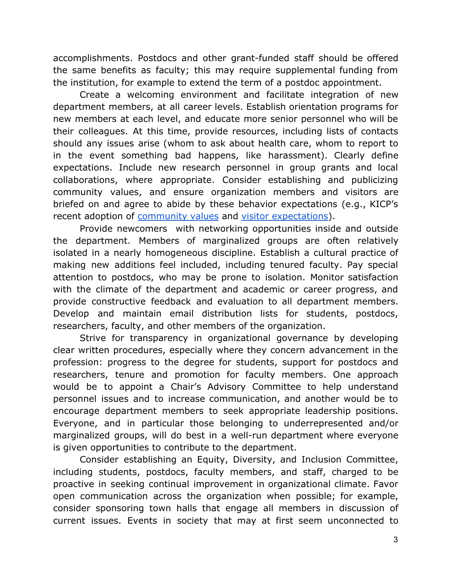accomplishments. Postdocs and other grant-funded staff should be offered the same benefits as faculty; this may require supplemental funding from the institution, for example to extend the term of a postdoc appointment.

Create a welcoming environment and facilitate integration of new department members, at all career levels. Establish orientation programs for new members at each level, and educate more senior personnel who will be their colleagues. At this time, provide resources, including lists of contacts should any issues arise (whom to ask about health care, whom to report to in the event something bad happens, like harassment). Clearly define expectations. Include new research personnel in group grants and local collaborations, where appropriate. Consider establishing and publicizing community values, and ensure organization members and visitors are briefed on and agree to abide by these behavior expectations (e.g., KICP's recent adoption of [community values](http://kicp.uchicago.edu/about/diversity.html) and [visitor expectations\)](http://kicp.uchicago.edu/visitors/application.php).

Provide newcomers with networking opportunities inside and outside the department. Members of marginalized groups are often relatively isolated in a nearly homogeneous discipline. Establish a cultural practice of making new additions feel included, including tenured faculty. Pay special attention to postdocs, who may be prone to isolation. Monitor satisfaction with the climate of the department and academic or career progress, and provide constructive feedback and evaluation to all department members. Develop and maintain email distribution lists for students, postdocs, researchers, faculty, and other members of the organization.

Strive for transparency in organizational governance by developing clear written procedures, especially where they concern advancement in the profession: progress to the degree for students, support for postdocs and researchers, tenure and promotion for faculty members. One approach would be to appoint a Chair's Advisory Committee to help understand personnel issues and to increase communication, and another would be to encourage department members to seek appropriate leadership positions. Everyone, and in particular those belonging to underrepresented and/or marginalized groups, will do best in a well-run department where everyone is given opportunities to contribute to the department.

Consider establishing an Equity, Diversity, and Inclusion Committee, including students, postdocs, faculty members, and staff, charged to be proactive in seeking continual improvement in organizational climate. Favor open communication across the organization when possible; for example, consider sponsoring town halls that engage all members in discussion of current issues. Events in society that may at first seem unconnected to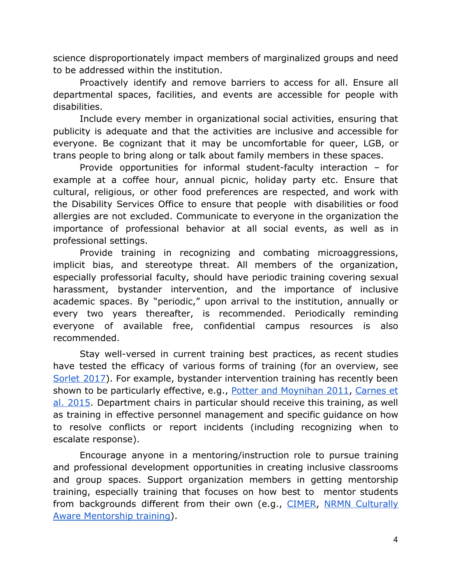science disproportionately impact members of marginalized groups and need to be addressed within the institution.

Proactively identify and remove barriers to access for all. Ensure all departmental spaces, facilities, and events are accessible for people with disabilities.

Include every member in organizational social activities, ensuring that publicity is adequate and that the activities are inclusive and accessible for everyone. Be cognizant that it may be uncomfortable for queer, LGB, or trans people to bring along or talk about family members in these spaces.

Provide opportunities for informal student-faculty interaction – for example at a coffee hour, annual picnic, holiday party etc. Ensure that cultural, religious, or other food preferences are respected, and work with the Disability Services Office to ensure that people with disabilities or food allergies are not excluded. Communicate to everyone in the organization the importance of professional behavior at all social events, as well as in professional settings.

Provide training in recognizing and combating microaggressions, implicit bias, and stereotype threat. All members of the organization, especially professorial faculty, should have periodic training covering sexual harassment, bystander intervention, and the importance of inclusive academic spaces. By "periodic," upon arrival to the institution, annually or every two years thereafter, is recommended. Periodically reminding everyone of available free, confidential campus resources is also recommended.

Stay well-versed in current training best practices, as recent studies have tested the efficacy of various forms of training (for an overview, see [Sorlet](https://www.nytimes.com/2017/12/11/upshot/sexual-harassment-workplace-prevention-effective.html) 2017). For example, bystander intervention training has recently been shown to be particularly effective, e.g., Potter and [Moynihan](https://search.proquest.com/openview/f252c2e8f0064718f33e4e8f968399cc/1?pq-origsite=gscholar&cbl=7561) 2011, [Carnes](http://www.azrapeprevention.org/summaries_cares_2015) et al. [2015](http://www.azrapeprevention.org/summaries_cares_2015). Department chairs in particular should receive this training, as well as training in effective personnel management and specific guidance on how to resolve conflicts or report incidents (including recognizing when to escalate response).

Encourage anyone in a mentoring/instruction role to pursue training and professional development opportunities in creating inclusive classrooms and group spaces. Support organization members in getting mentorship training, especially training that focuses on how best to mentor students from backgrounds different from their own (e.g., [CIMER](https://www.cimerproject.org/#/), NRMN [Culturally](https://nrmnet.net/nrmn-announces-culturally-aware-mentorship-cam-training-module/) [Aware Mentorship training\)](https://nrmnet.net/nrmn-announces-culturally-aware-mentorship-cam-training-module/).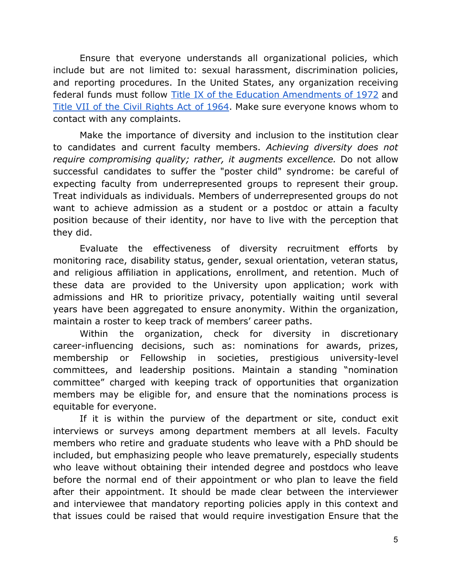Ensure that everyone understands all organizational policies, which include but are not limited to: sexual harassment, discrimination policies, and reporting procedures. In the United States, any organization receiving federal funds must follow Title IX of the Education [Amendments](https://www.dol.gov/oasam/regs/statutes/titleix.htm) of 1972 and Title VII of the Civil [Rights](https://www.eeoc.gov/laws/statutes/titlevii.cfm) Act of 1964. Make sure everyone knows whom to contact with any complaints.

Make the importance of diversity and inclusion to the institution clear to candidates and current faculty members. *Achieving diversity does not require compromising quality; rather, it augments excellence.* Do not allow successful candidates to suffer the "poster child" syndrome: be careful of expecting faculty from underrepresented groups to represent their group. Treat individuals as individuals. Members of underrepresented groups do not want to achieve admission as a student or a postdoc or attain a faculty position because of their identity, nor have to live with the perception that they did.

Evaluate the effectiveness of diversity recruitment efforts by monitoring race, disability status, gender, sexual orientation, veteran status, and religious affiliation in applications, enrollment, and retention. Much of these data are provided to the University upon application; work with admissions and HR to prioritize privacy, potentially waiting until several years have been aggregated to ensure anonymity. Within the organization, maintain a roster to keep track of members' career paths.

Within the organization, check for diversity in discretionary career-influencing decisions, such as: nominations for awards, prizes, membership or Fellowship in societies, prestigious university-level committees, and leadership positions. Maintain a standing "nomination committee" charged with keeping track of opportunities that organization members may be eligible for, and ensure that the nominations process is equitable for everyone.

If it is within the purview of the department or site, conduct exit interviews or surveys among department members at all levels. Faculty members who retire and graduate students who leave with a PhD should be included, but emphasizing people who leave prematurely, especially students who leave without obtaining their intended degree and postdocs who leave before the normal end of their appointment or who plan to leave the field after their appointment. It should be made clear between the interviewer and interviewee that mandatory reporting policies apply in this context and that issues could be raised that would require investigation Ensure that the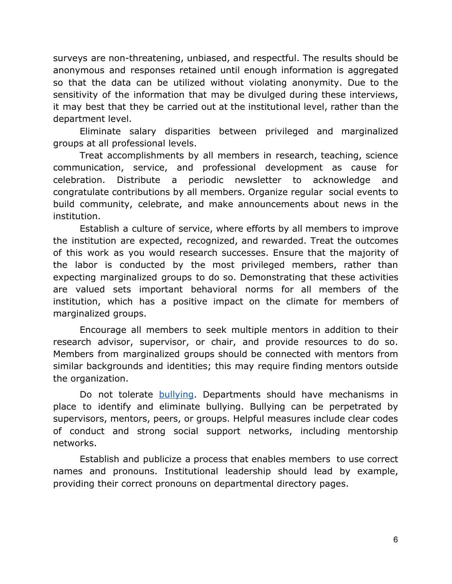surveys are non-threatening, unbiased, and respectful. The results should be anonymous and responses retained until enough information is aggregated so that the data can be utilized without violating anonymity. Due to the sensitivity of the information that may be divulged during these interviews, it may best that they be carried out at the institutional level, rather than the department level.

Eliminate salary disparities between privileged and marginalized groups at all professional levels.

Treat accomplishments by all members in research, teaching, science communication, service, and professional development as cause for celebration. Distribute a periodic newsletter to acknowledge and congratulate contributions by all members. Organize regular social events to build community, celebrate, and make announcements about news in the institution.

Establish a culture of service, where efforts by all members to improve the institution are expected, recognized, and rewarded. Treat the outcomes of this work as you would research successes. Ensure that the majority of the labor is conducted by the most privileged members, rather than expecting marginalized groups to do so. Demonstrating that these activities are valued sets important behavioral norms for all members of the institution, which has a positive impact on the climate for members of marginalized groups.

Encourage all members to seek multiple mentors in addition to their research advisor, supervisor, or chair, and provide resources to do so. Members from marginalized groups should be connected with mentors from similar backgrounds and identities; this may require finding mentors outside the organization.

Do not tolerate [bullying](https://aas.org/ethics#bullying). Departments should have mechanisms in place to identify and eliminate bullying. Bullying can be perpetrated by supervisors, mentors, peers, or groups. Helpful measures include clear codes of conduct and strong social support networks, including mentorship networks.

Establish and publicize a process that enables members to use correct names and pronouns. Institutional leadership should lead by example, providing their correct pronouns on departmental directory pages.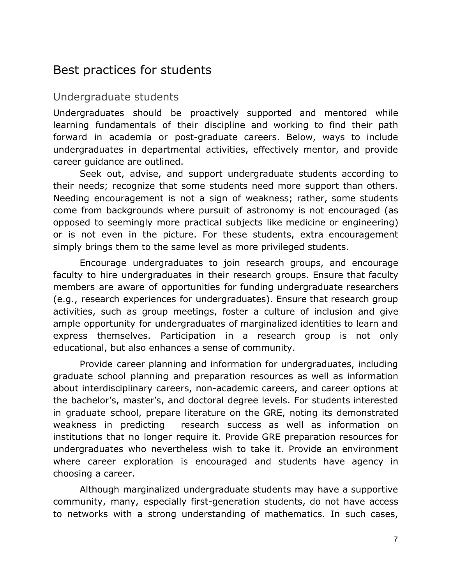## Best practices for students

#### Undergraduate students

Undergraduates should be proactively supported and mentored while learning fundamentals of their discipline and working to find their path forward in academia or post-graduate careers. Below, ways to include undergraduates in departmental activities, effectively mentor, and provide career guidance are outlined.

Seek out, advise, and support undergraduate students according to their needs; recognize that some students need more support than others. Needing encouragement is not a sign of weakness; rather, some students come from backgrounds where pursuit of astronomy is not encouraged (as opposed to seemingly more practical subjects like medicine or engineering) or is not even in the picture. For these students, extra encouragement simply brings them to the same level as more privileged students.

Encourage undergraduates to join research groups, and encourage faculty to hire undergraduates in their research groups. Ensure that faculty members are aware of opportunities for funding undergraduate researchers (e.g., research experiences for undergraduates). Ensure that research group activities, such as group meetings, foster a culture of inclusion and give ample opportunity for undergraduates of marginalized identities to learn and express themselves. Participation in a research group is not only educational, but also enhances a sense of community.

Provide career planning and information for undergraduates, including graduate school planning and preparation resources as well as information about interdisciplinary careers, non-academic careers, and career options at the bachelor's, master's, and doctoral degree levels. For students interested in graduate school, prepare literature on the GRE, noting its demonstrated weakness in predicting research success as well as information on institutions that no longer require it. Provide GRE preparation resources for undergraduates who nevertheless wish to take it. Provide an environment where career exploration is encouraged and students have agency in choosing a career.

Although marginalized undergraduate students may have a supportive community, many, especially first-generation students, do not have access to networks with a strong understanding of mathematics. In such cases,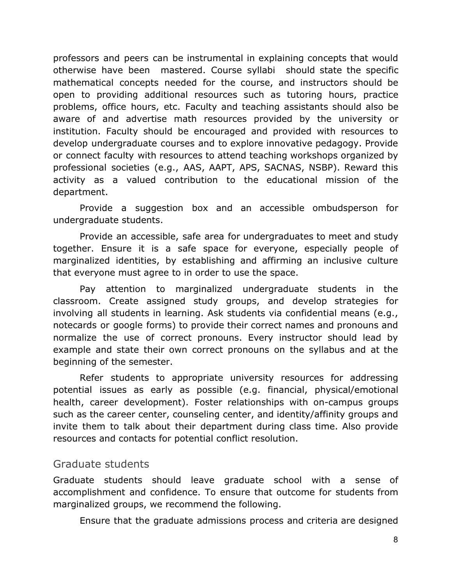professors and peers can be instrumental in explaining concepts that would otherwise have been mastered. Course syllabi should state the specific mathematical concepts needed for the course, and instructors should be open to providing additional resources such as tutoring hours, practice problems, office hours, etc. Faculty and teaching assistants should also be aware of and advertise math resources provided by the university or institution. Faculty should be encouraged and provided with resources to develop undergraduate courses and to explore innovative pedagogy. Provide or connect faculty with resources to attend teaching workshops organized by professional societies (e.g., AAS, AAPT, APS, SACNAS, NSBP). Reward this activity as a valued contribution to the educational mission of the department.

Provide a suggestion box and an accessible ombudsperson for undergraduate students.

Provide an accessible, safe area for undergraduates to meet and study together. Ensure it is a safe space for everyone, especially people of marginalized identities, by establishing and affirming an inclusive culture that everyone must agree to in order to use the space.

Pay attention to marginalized undergraduate students in the classroom. Create assigned study groups, and develop strategies for involving all students in learning. Ask students via confidential means (e.g., notecards or google forms) to provide their correct names and pronouns and normalize the use of correct pronouns. Every instructor should lead by example and state their own correct pronouns on the syllabus and at the beginning of the semester.

Refer students to appropriate university resources for addressing potential issues as early as possible (e.g. financial, physical/emotional health, career development). Foster relationships with on-campus groups such as the career center, counseling center, and identity/affinity groups and invite them to talk about their department during class time. Also provide resources and contacts for potential conflict resolution.

#### Graduate students

Graduate students should leave graduate school with a sense of accomplishment and confidence. To ensure that outcome for students from marginalized groups, we recommend the following.

Ensure that the graduate admissions process and criteria are designed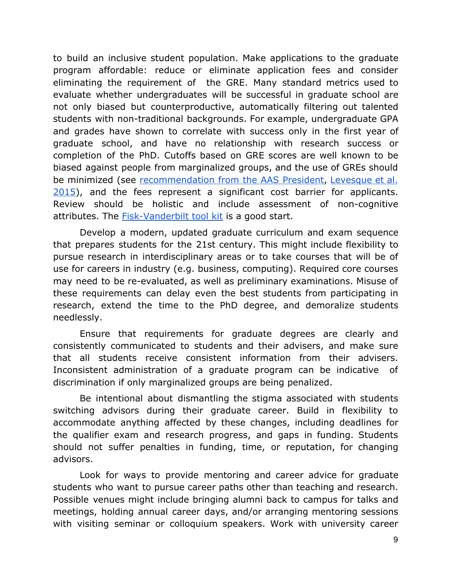to build an inclusive student population. Make applications to the graduate program affordable: reduce or eliminate application fees and consider eliminating the requirement of the GRE. Many standard metrics used to evaluate whether undergraduates will be successful in graduate school are not only biased but counterproductive, automatically filtering out talented students with non-traditional backgrounds. For example, undergraduate GPA and grades have shown to correlate with success only in the first year of graduate school, and have no relationship with research success or completion of the PhD. Cutoffs based on GRE scores are well known to be biased against people from marginalized groups, and the use of GREs should be minimized (see [recommendation](https://aas.org/posts/news/2015/12/presidents-column-rethinking-role-gre) from the AAS President[,](https://aas.org/posts/news/2015/12/presidents-column-rethinking-role-gre) [Levesque](https://arxiv.org/abs/1512.03709) et al. [2015\)](https://arxiv.org/abs/1512.03709), and the fees represent a significant cost barrier for applicants. Review should be holistic and include assessment of non-cognitive attributes. The [Fisk-Vanderbilt tool kit](http://fisk-vanderbilt-bridge.org/tool-kit/) is a good start.

Develop a modern, updated graduate curriculum and exam sequence that prepares students for the 21st century. This might include flexibility to pursue research in interdisciplinary areas or to take courses that will be of use for careers in industry (e.g. business, computing). Required core courses may need to be re-evaluated, as well as preliminary examinations. Misuse of these requirements can delay even the best students from participating in research, extend the time to the PhD degree, and demoralize students needlessly.

Ensure that requirements for graduate degrees are clearly and consistently communicated to students and their advisers, and make sure that all students receive consistent information from their advisers. Inconsistent administration of a graduate program can be indicative of discrimination if only marginalized groups are being penalized.

Be intentional about dismantling the stigma associated with students switching advisors during their graduate career. Build in flexibility to accommodate anything affected by these changes, including deadlines for the qualifier exam and research progress, and gaps in funding. Students should not suffer penalties in funding, time, or reputation, for changing advisors.

Look for ways to provide mentoring and career advice for graduate students who want to pursue career paths other than teaching and research. Possible venues might include bringing alumni back to campus for talks and meetings, holding annual career days, and/or arranging mentoring sessions with visiting seminar or colloquium speakers. Work with university career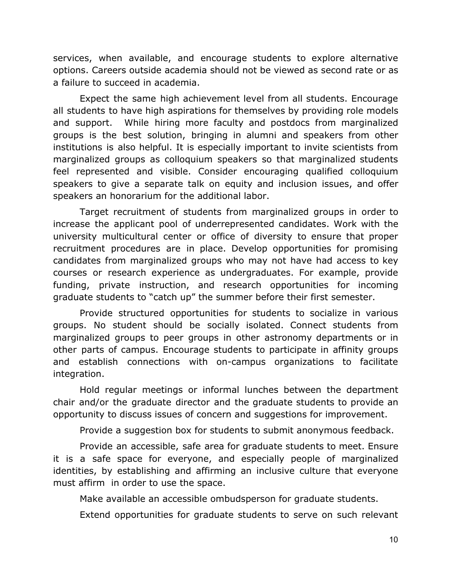services, when available, and encourage students to explore alternative options. Careers outside academia should not be viewed as second rate or as a failure to succeed in academia.

Expect the same high achievement level from all students. Encourage all students to have high aspirations for themselves by providing role models and support. While hiring more faculty and postdocs from marginalized groups is the best solution, bringing in alumni and speakers from other institutions is also helpful. It is especially important to invite scientists from marginalized groups as colloquium speakers so that marginalized students feel represented and visible. Consider encouraging qualified colloquium speakers to give a separate talk on equity and inclusion issues, and offer speakers an honorarium for the additional labor.

Target recruitment of students from marginalized groups in order to increase the applicant pool of underrepresented candidates. Work with the university multicultural center or office of diversity to ensure that proper recruitment procedures are in place. Develop opportunities for promising candidates from marginalized groups who may not have had access to key courses or research experience as undergraduates. For example, provide funding, private instruction, and research opportunities for incoming graduate students to "catch up" the summer before their first semester.

Provide structured opportunities for students to socialize in various groups. No student should be socially isolated. Connect students from marginalized groups to peer groups in other astronomy departments or in other parts of campus. Encourage students to participate in affinity groups and establish connections with on-campus organizations to facilitate integration.

Hold regular meetings or informal lunches between the department chair and/or the graduate director and the graduate students to provide an opportunity to discuss issues of concern and suggestions for improvement.

Provide a suggestion box for students to submit anonymous feedback.

Provide an accessible, safe area for graduate students to meet. Ensure it is a safe space for everyone, and especially people of marginalized identities, by establishing and affirming an inclusive culture that everyone must affirm in order to use the space.

Make available an accessible ombudsperson for graduate students.

Extend opportunities for graduate students to serve on such relevant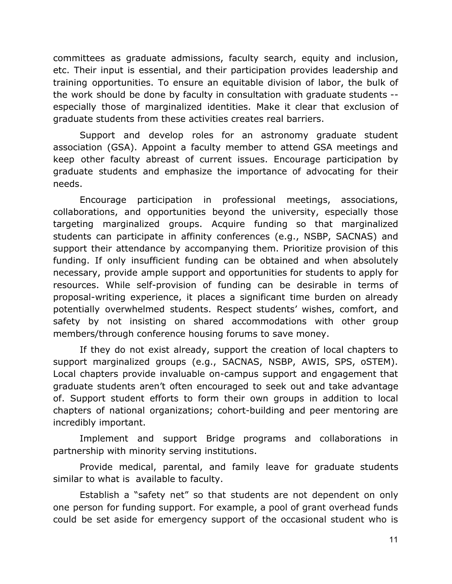committees as graduate admissions, faculty search, equity and inclusion, etc. Their input is essential, and their participation provides leadership and training opportunities. To ensure an equitable division of labor, the bulk of the work should be done by faculty in consultation with graduate students - especially those of marginalized identities. Make it clear that exclusion of graduate students from these activities creates real barriers.

Support and develop roles for an astronomy graduate student association (GSA). Appoint a faculty member to attend GSA meetings and keep other faculty abreast of current issues. Encourage participation by graduate students and emphasize the importance of advocating for their needs.

Encourage participation in professional meetings, associations, collaborations, and opportunities beyond the university, especially those targeting marginalized groups. Acquire funding so that marginalized students can participate in affinity conferences (e.g., NSBP, SACNAS) and support their attendance by accompanying them. Prioritize provision of this funding. If only insufficient funding can be obtained and when absolutely necessary, provide ample support and opportunities for students to apply for resources. While self-provision of funding can be desirable in terms of proposal-writing experience, it places a significant time burden on already potentially overwhelmed students. Respect students' wishes, comfort, and safety by not insisting on shared accommodations with other group members/through conference housing forums to save money.

If they do not exist already, support the creation of local chapters to support marginalized groups (e.g., SACNAS, NSBP, AWIS, SPS, oSTEM). Local chapters provide invaluable on-campus support and engagement that graduate students aren't often encouraged to seek out and take advantage of. Support student efforts to form their own groups in addition to local chapters of national organizations; cohort-building and peer mentoring are incredibly important.

Implement and support Bridge programs and collaborations in partnership with minority serving institutions.

Provide medical, parental, and family leave for graduate students similar to what is available to faculty.

Establish a "safety net" so that students are not dependent on only one person for funding support. For example, a pool of grant overhead funds could be set aside for emergency support of the occasional student who is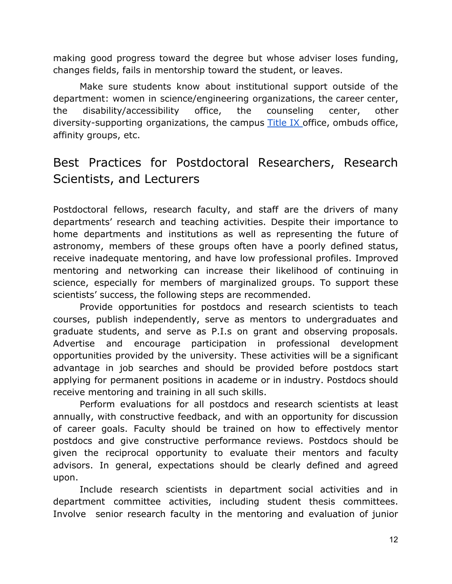making good progress toward the degree but whose adviser loses funding, changes fields, fails in mentorship toward the student, or leaves.

Make sure students know about institutional support outside of the department: women in science/engineering organizations, the career center, the disability/accessibility office, the counseling center, other diversity-supporting organizations, the campus [Title](https://www.dol.gov/oasam/regs/statutes/titleix.htm) IX office, ombuds office, affinity groups, etc.

# Best Practices for Postdoctoral Researchers, Research Scientists, and Lecturers

Postdoctoral fellows, research faculty, and staff are the drivers of many departments' research and teaching activities. Despite their importance to home departments and institutions as well as representing the future of astronomy, members of these groups often have a poorly defined status, receive inadequate mentoring, and have low professional profiles. Improved mentoring and networking can increase their likelihood of continuing in science, especially for members of marginalized groups. To support these scientists' success, the following steps are recommended.

Provide opportunities for postdocs and research scientists to teach courses, publish independently, serve as mentors to undergraduates and graduate students, and serve as P.I.s on grant and observing proposals. Advertise and encourage participation in professional development opportunities provided by the university. These activities will be a significant advantage in job searches and should be provided before postdocs start applying for permanent positions in academe or in industry. Postdocs should receive mentoring and training in all such skills.

Perform evaluations for all postdocs and research scientists at least annually, with constructive feedback, and with an opportunity for discussion of career goals. Faculty should be trained on how to effectively mentor postdocs and give constructive performance reviews. Postdocs should be given the reciprocal opportunity to evaluate their mentors and faculty advisors. In general, expectations should be clearly defined and agreed upon.

Include research scientists in department social activities and in department committee activities, including student thesis committees. Involve senior research faculty in the mentoring and evaluation of junior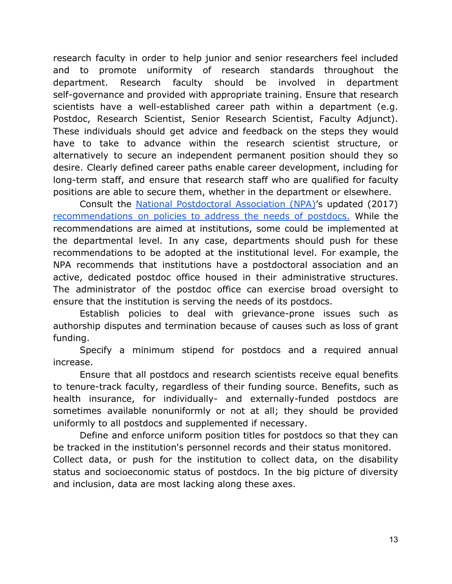research faculty in order to help junior and senior researchers feel included and to promote uniformity of research standards throughout the department. Research faculty should be involved in department self-governance and provided with appropriate training. Ensure that research scientists have a well-established career path within a department (e.g. Postdoc, Research Scientist, Senior Research Scientist, Faculty Adjunct). These individuals should get advice and feedback on the steps they would have to take to advance within the research scientist structure, or alternatively to secure an independent permanent position should they so desire. Clearly defined career paths enable career development, including for long-term staff, and ensure that research staff who are qualified for faculty positions are able to secure them, whether in the department or elsewhere.

Consult the National [Postdoctoral](http://www.nationalpostdoc.org/) Association (NPA)'s updated (2017) [recommendations](http://c.ymcdn.com/sites/www.nationalpostdoc.org/resource/resmgr/docs/2018-01PostdocSurvey-17PAGES.pdf) on policies to address the needs of postdocs. While the recommendations are aimed at institutions, some could be implemented at the departmental level. In any case, departments should push for these recommendations to be adopted at the institutional level. For example, the NPA recommends that institutions have a postdoctoral association and an active, dedicated postdoc office housed in their administrative structures. The administrator of the postdoc office can exercise broad oversight to ensure that the institution is serving the needs of its postdocs.

Establish policies to deal with grievance-prone issues such as authorship disputes and termination because of causes such as loss of grant funding.

Specify a minimum stipend for postdocs and a required annual increase.

Ensure that all postdocs and research scientists receive equal benefits to tenure-track faculty, regardless of their funding source. Benefits, such as health insurance, for individually- and externally-funded postdocs are sometimes available nonuniformly or not at all; they should be provided uniformly to all postdocs and supplemented if necessary.

Define and enforce uniform position titles for postdocs so that they can be tracked in the institution's personnel records and their status monitored. Collect data, or push for the institution to collect data, on the disability status and socioeconomic status of postdocs. In the big picture of diversity

and inclusion, data are most lacking along these axes.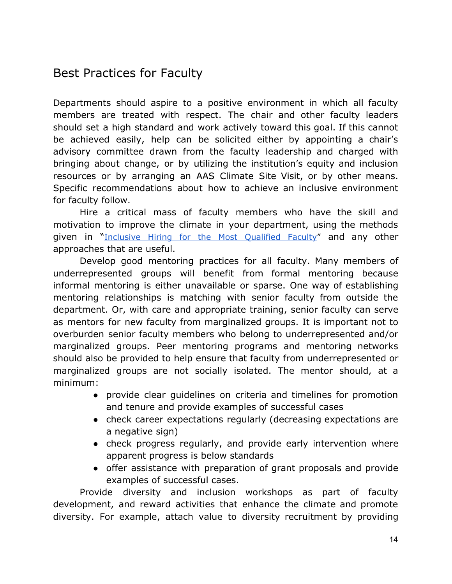# Best Practices for Faculty

Departments should aspire to a positive environment in which all faculty members are treated with respect. The chair and other faculty leaders should set a high standard and work actively toward this goal. If this cannot be achieved easily, help can be solicited either by appointing a chair's advisory committee drawn from the faculty leadership and charged with bringing about change, or by utilizing the institution's equity and inclusion resources or by arranging an AAS Climate Site Visit, or by other means. Specific recommendations about how to achieve an inclusive environment for faculty follow.

Hire a critical mass of faculty members who have the skill and motivation to improve the climate in your department, using the methods given in "Inclusive Hiring for the Most [Qualified](https://docs.google.com/document/d/1okW1zoljLklSdbqaRFNw_jZQjJdCdU6pN51fmgQ1ul8/edit?usp=sharing) Faculty" and any other approaches that are useful.

Develop good mentoring practices for all faculty. Many members of underrepresented groups will benefit from formal mentoring because informal mentoring is either unavailable or sparse. One way of establishing mentoring relationships is matching with senior faculty from outside the department. Or, with care and appropriate training, senior faculty can serve as mentors for new faculty from marginalized groups. It is important not to overburden senior faculty members who belong to underrepresented and/or marginalized groups. Peer mentoring programs and mentoring networks should also be provided to help ensure that faculty from underrepresented or marginalized groups are not socially isolated. The mentor should, at a minimum:

- provide clear guidelines on criteria and timelines for promotion and tenure and provide examples of successful cases
- check career expectations regularly (decreasing expectations are a negative sign)
- check progress regularly, and provide early intervention where apparent progress is below standards
- offer assistance with preparation of grant proposals and provide examples of successful cases.

Provide diversity and inclusion workshops as part of faculty development, and reward activities that enhance the climate and promote diversity. For example, attach value to diversity recruitment by providing